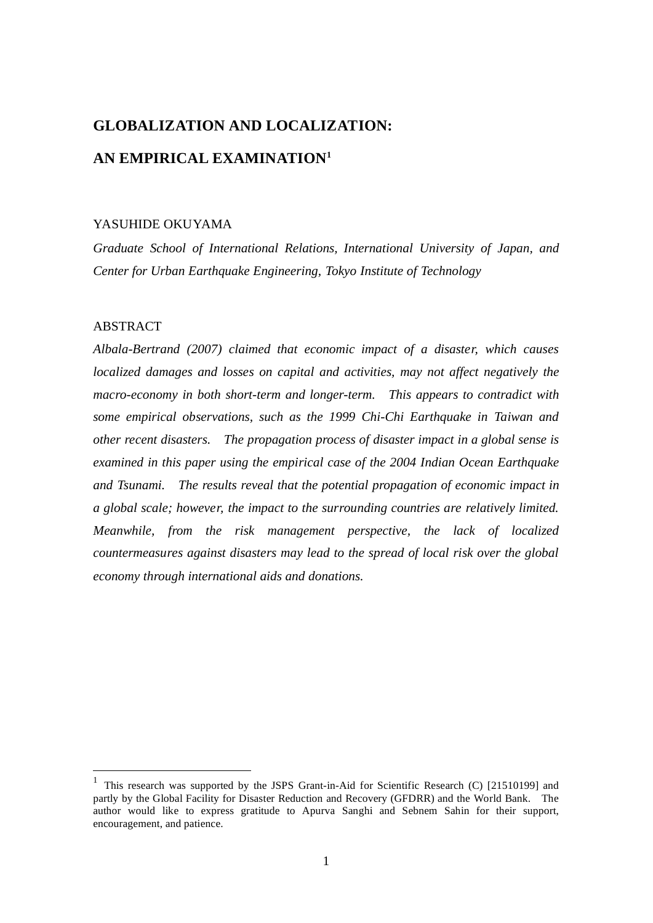# **GLOBALIZATION AND LOCALIZATION: AN EMPIRICAL EXAMINATION1**

#### YASUHIDE OKUYAMA

*Graduate School of International Relations, International University of Japan, and Center for Urban Earthquake Engineering, Tokyo Institute of Technology* 

#### ABSTRACT

 $\overline{a}$ 

*Albala-Bertrand (2007) claimed that economic impact of a disaster, which causes localized damages and losses on capital and activities, may not affect negatively the macro-economy in both short-term and longer-term. This appears to contradict with some empirical observations, such as the 1999 Chi-Chi Earthquake in Taiwan and other recent disasters. The propagation process of disaster impact in a global sense is examined in this paper using the empirical case of the 2004 Indian Ocean Earthquake and Tsunami. The results reveal that the potential propagation of economic impact in a global scale; however, the impact to the surrounding countries are relatively limited. Meanwhile, from the risk management perspective, the lack of localized countermeasures against disasters may lead to the spread of local risk over the global economy through international aids and donations.* 

<sup>&</sup>lt;sup>1</sup> This research was supported by the JSPS Grant-in-Aid for Scientific Research (C) [21510199] and partly by the Global Facility for Disaster Reduction and Recovery (GFDRR) and the World Bank. The author would like to express gratitude to Apurva Sanghi and Sebnem Sahin for their support, encouragement, and patience.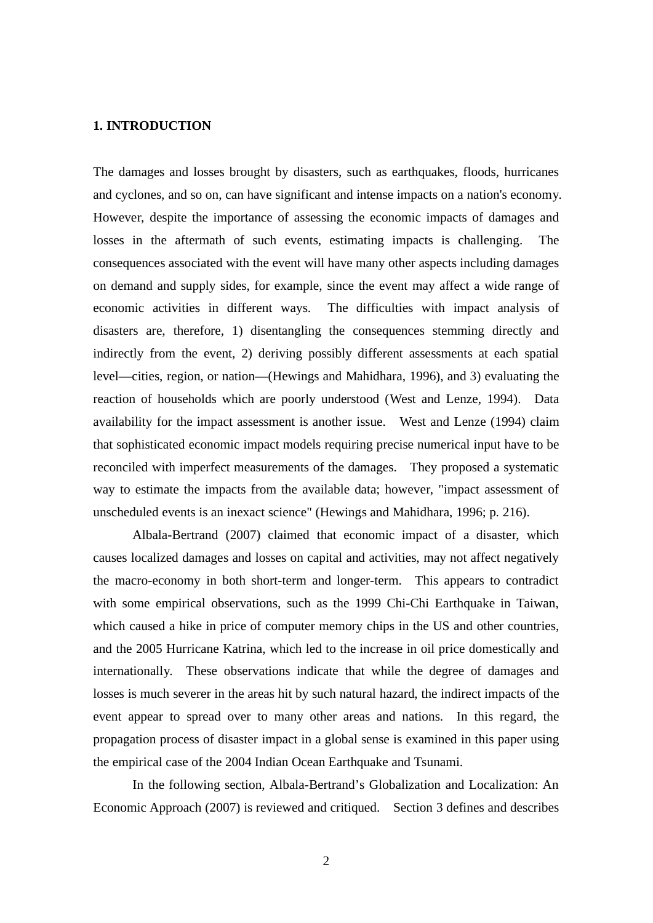#### **1. INTRODUCTION**

The damages and losses brought by disasters, such as earthquakes, floods, hurricanes and cyclones, and so on, can have significant and intense impacts on a nation's economy. However, despite the importance of assessing the economic impacts of damages and losses in the aftermath of such events, estimating impacts is challenging. The consequences associated with the event will have many other aspects including damages on demand and supply sides, for example, since the event may affect a wide range of economic activities in different ways. The difficulties with impact analysis of disasters are, therefore, 1) disentangling the consequences stemming directly and indirectly from the event, 2) deriving possibly different assessments at each spatial level—cities, region, or nation—(Hewings and Mahidhara, 1996), and 3) evaluating the reaction of households which are poorly understood (West and Lenze, 1994). Data availability for the impact assessment is another issue. West and Lenze (1994) claim that sophisticated economic impact models requiring precise numerical input have to be reconciled with imperfect measurements of the damages. They proposed a systematic way to estimate the impacts from the available data; however, "impact assessment of unscheduled events is an inexact science" (Hewings and Mahidhara, 1996; p. 216).

Albala-Bertrand (2007) claimed that economic impact of a disaster, which causes localized damages and losses on capital and activities, may not affect negatively the macro-economy in both short-term and longer-term. This appears to contradict with some empirical observations, such as the 1999 Chi-Chi Earthquake in Taiwan, which caused a hike in price of computer memory chips in the US and other countries, and the 2005 Hurricane Katrina, which led to the increase in oil price domestically and internationally. These observations indicate that while the degree of damages and losses is much severer in the areas hit by such natural hazard, the indirect impacts of the event appear to spread over to many other areas and nations. In this regard, the propagation process of disaster impact in a global sense is examined in this paper using the empirical case of the 2004 Indian Ocean Earthquake and Tsunami.

In the following section, Albala-Bertrand's Globalization and Localization: An Economic Approach (2007) is reviewed and critiqued. Section 3 defines and describes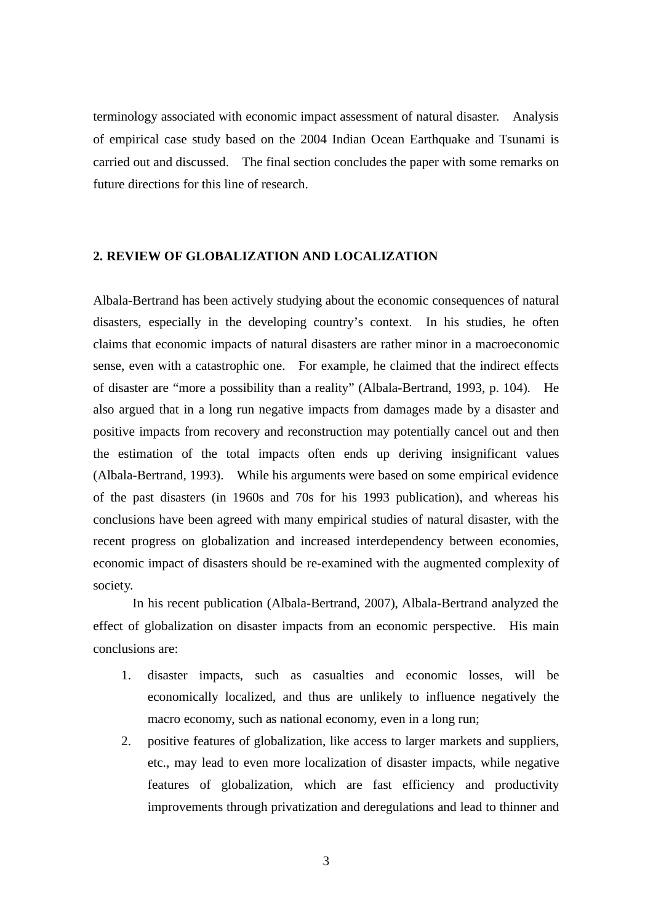terminology associated with economic impact assessment of natural disaster. Analysis of empirical case study based on the 2004 Indian Ocean Earthquake and Tsunami is carried out and discussed. The final section concludes the paper with some remarks on future directions for this line of research.

#### **2. REVIEW OF GLOBALIZATION AND LOCALIZATION**

Albala-Bertrand has been actively studying about the economic consequences of natural disasters, especially in the developing country's context. In his studies, he often claims that economic impacts of natural disasters are rather minor in a macroeconomic sense, even with a catastrophic one. For example, he claimed that the indirect effects of disaster are "more a possibility than a reality" (Albala-Bertrand, 1993, p. 104). He also argued that in a long run negative impacts from damages made by a disaster and positive impacts from recovery and reconstruction may potentially cancel out and then the estimation of the total impacts often ends up deriving insignificant values (Albala-Bertrand, 1993). While his arguments were based on some empirical evidence of the past disasters (in 1960s and 70s for his 1993 publication), and whereas his conclusions have been agreed with many empirical studies of natural disaster, with the recent progress on globalization and increased interdependency between economies, economic impact of disasters should be re-examined with the augmented complexity of society.

In his recent publication (Albala-Bertrand, 2007), Albala-Bertrand analyzed the effect of globalization on disaster impacts from an economic perspective. His main conclusions are:

- 1. disaster impacts, such as casualties and economic losses, will be economically localized, and thus are unlikely to influence negatively the macro economy, such as national economy, even in a long run;
- 2. positive features of globalization, like access to larger markets and suppliers, etc., may lead to even more localization of disaster impacts, while negative features of globalization, which are fast efficiency and productivity improvements through privatization and deregulations and lead to thinner and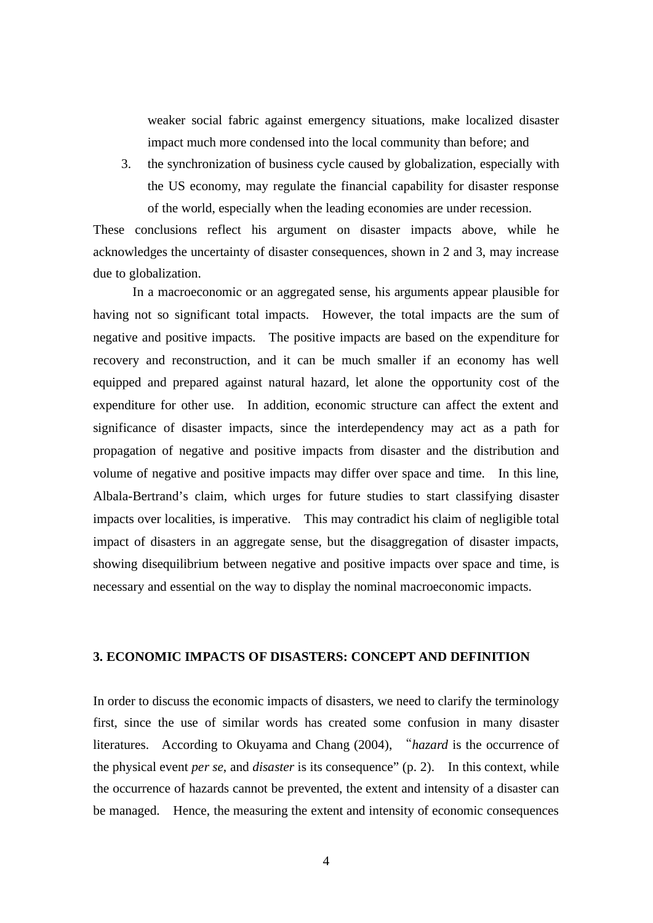weaker social fabric against emergency situations, make localized disaster impact much more condensed into the local community than before; and

3. the synchronization of business cycle caused by globalization, especially with the US economy, may regulate the financial capability for disaster response of the world, especially when the leading economies are under recession.

These conclusions reflect his argument on disaster impacts above, while he acknowledges the uncertainty of disaster consequences, shown in 2 and 3, may increase due to globalization.

In a macroeconomic or an aggregated sense, his arguments appear plausible for having not so significant total impacts. However, the total impacts are the sum of negative and positive impacts. The positive impacts are based on the expenditure for recovery and reconstruction, and it can be much smaller if an economy has well equipped and prepared against natural hazard, let alone the opportunity cost of the expenditure for other use. In addition, economic structure can affect the extent and significance of disaster impacts, since the interdependency may act as a path for propagation of negative and positive impacts from disaster and the distribution and volume of negative and positive impacts may differ over space and time. In this line, Albala-Bertrand's claim, which urges for future studies to start classifying disaster impacts over localities, is imperative. This may contradict his claim of negligible total impact of disasters in an aggregate sense, but the disaggregation of disaster impacts, showing disequilibrium between negative and positive impacts over space and time, is necessary and essential on the way to display the nominal macroeconomic impacts.

#### **3. ECONOMIC IMPACTS OF DISASTERS: CONCEPT AND DEFINITION**

In order to discuss the economic impacts of disasters, we need to clarify the terminology first, since the use of similar words has created some confusion in many disaster literatures. According to Okuyama and Chang (2004), *hazard* is the occurrence of the physical event *per se*, and *disaster* is its consequence" (p. 2). In this context, while the occurrence of hazards cannot be prevented, the extent and intensity of a disaster can be managed. Hence, the measuring the extent and intensity of economic consequences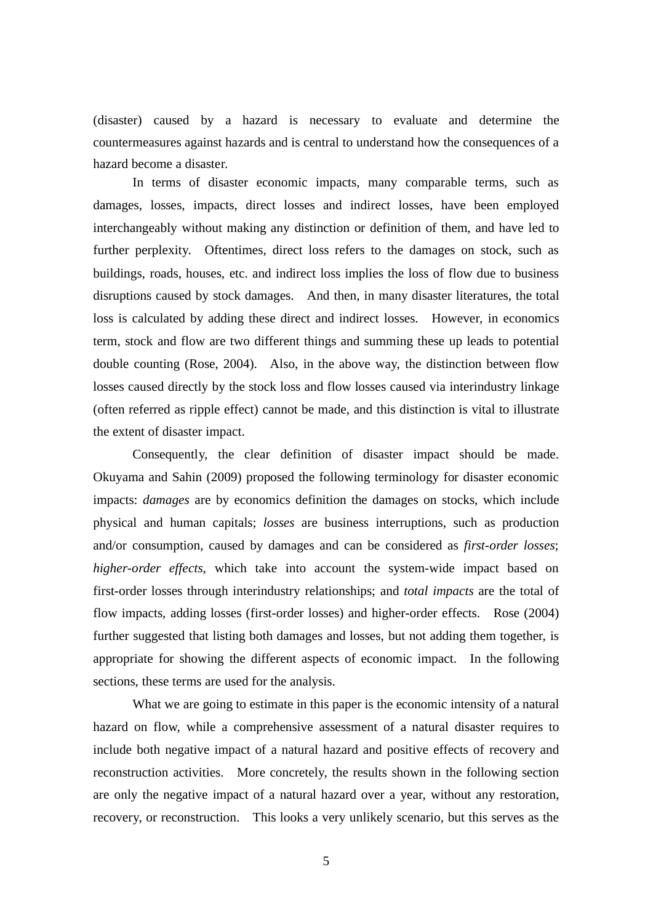(disaster) caused by a hazard is necessary to evaluate and determine the countermeasures against hazards and is central to understand how the consequences of a hazard become a disaster.

In terms of disaster economic impacts, many comparable terms, such as damages, losses, impacts, direct losses and indirect losses, have been employed interchangeably without making any distinction or definition of them, and have led to further perplexity. Oftentimes, direct loss refers to the damages on stock, such as buildings, roads, houses, etc. and indirect loss implies the loss of flow due to business disruptions caused by stock damages. And then, in many disaster literatures, the total loss is calculated by adding these direct and indirect losses. However, in economics term, stock and flow are two different things and summing these up leads to potential double counting (Rose, 2004). Also, in the above way, the distinction between flow losses caused directly by the stock loss and flow losses caused via interindustry linkage (often referred as ripple effect) cannot be made, and this distinction is vital to illustrate the extent of disaster impact.

Consequently, the clear definition of disaster impact should be made. Okuyama and Sahin (2009) proposed the following terminology for disaster economic impacts: *damages* are by economics definition the damages on stocks, which include physical and human capitals; *losses* are business interruptions, such as production and/or consumption, caused by damages and can be considered as *first-order losses*; *higher-order effects*, which take into account the system-wide impact based on first-order losses through interindustry relationships; and *total impacts* are the total of flow impacts, adding losses (first-order losses) and higher-order effects. Rose (2004) further suggested that listing both damages and losses, but not adding them together, is appropriate for showing the different aspects of economic impact. In the following sections, these terms are used for the analysis.

What we are going to estimate in this paper is the economic intensity of a natural hazard on flow, while a comprehensive assessment of a natural disaster requires to include both negative impact of a natural hazard and positive effects of recovery and reconstruction activities. More concretely, the results shown in the following section are only the negative impact of a natural hazard over a year, without any restoration, recovery, or reconstruction. This looks a very unlikely scenario, but this serves as the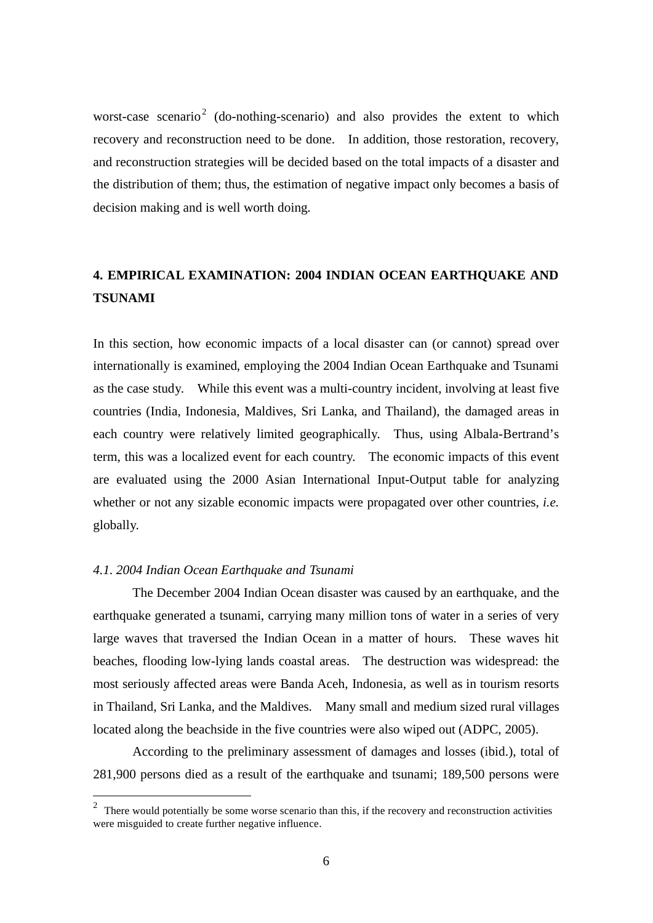worst-case scenario<sup>2</sup> (do-nothing-scenario) and also provides the extent to which recovery and reconstruction need to be done. In addition, those restoration, recovery, and reconstruction strategies will be decided based on the total impacts of a disaster and the distribution of them; thus, the estimation of negative impact only becomes a basis of decision making and is well worth doing.

# **4. EMPIRICAL EXAMINATION: 2004 INDIAN OCEAN EARTHQUAKE AND TSUNAMI**

In this section, how economic impacts of a local disaster can (or cannot) spread over internationally is examined, employing the 2004 Indian Ocean Earthquake and Tsunami as the case study. While this event was a multi-country incident, involving at least five countries (India, Indonesia, Maldives, Sri Lanka, and Thailand), the damaged areas in each country were relatively limited geographically. Thus, using Albala-Bertrand's term, this was a localized event for each country. The economic impacts of this event are evaluated using the 2000 Asian International Input-Output table for analyzing whether or not any sizable economic impacts were propagated over other countries, *i.e.* globally.

#### *4.1. 2004 Indian Ocean Earthquake and Tsunami*

 $\overline{a}$ 

The December 2004 Indian Ocean disaster was caused by an earthquake, and the earthquake generated a tsunami, carrying many million tons of water in a series of very large waves that traversed the Indian Ocean in a matter of hours. These waves hit beaches, flooding low-lying lands coastal areas. The destruction was widespread: the most seriously affected areas were Banda Aceh, Indonesia, as well as in tourism resorts in Thailand, Sri Lanka, and the Maldives. Many small and medium sized rural villages located along the beachside in the five countries were also wiped out (ADPC, 2005).

According to the preliminary assessment of damages and losses (ibid.), total of 281,900 persons died as a result of the earthquake and tsunami; 189,500 persons were

 $2<sup>2</sup>$  There would potentially be some worse scenario than this, if the recovery and reconstruction activities were misguided to create further negative influence.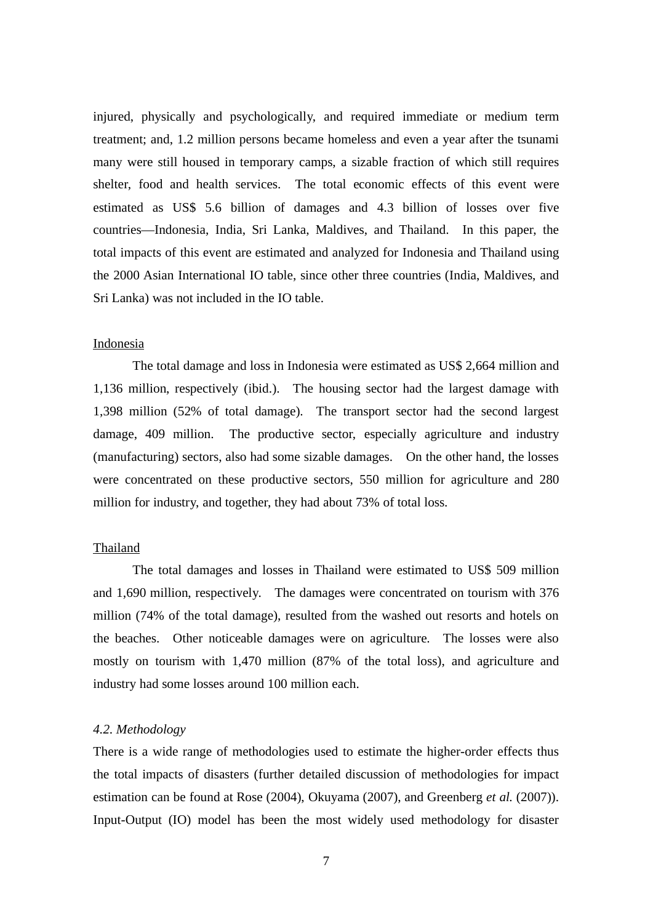injured, physically and psychologically, and required immediate or medium term treatment; and, 1.2 million persons became homeless and even a year after the tsunami many were still housed in temporary camps, a sizable fraction of which still requires shelter, food and health services. The total economic effects of this event were estimated as US\$ 5.6 billion of damages and 4.3 billion of losses over five countries—Indonesia, India, Sri Lanka, Maldives, and Thailand. In this paper, the total impacts of this event are estimated and analyzed for Indonesia and Thailand using the 2000 Asian International IO table, since other three countries (India, Maldives, and Sri Lanka) was not included in the IO table.

#### Indonesia

The total damage and loss in Indonesia were estimated as US\$ 2,664 million and 1,136 million, respectively (ibid.). The housing sector had the largest damage with 1,398 million (52% of total damage). The transport sector had the second largest damage, 409 million. The productive sector, especially agriculture and industry (manufacturing) sectors, also had some sizable damages. On the other hand, the losses were concentrated on these productive sectors, 550 million for agriculture and 280 million for industry, and together, they had about 73% of total loss.

#### Thailand

The total damages and losses in Thailand were estimated to US\$ 509 million and 1,690 million, respectively. The damages were concentrated on tourism with 376 million (74% of the total damage), resulted from the washed out resorts and hotels on the beaches. Other noticeable damages were on agriculture. The losses were also mostly on tourism with 1,470 million (87% of the total loss), and agriculture and industry had some losses around 100 million each.

#### *4.2. Methodology*

There is a wide range of methodologies used to estimate the higher-order effects thus the total impacts of disasters (further detailed discussion of methodologies for impact estimation can be found at Rose (2004), Okuyama (2007), and Greenberg *et al.* (2007)). Input-Output (IO) model has been the most widely used methodology for disaster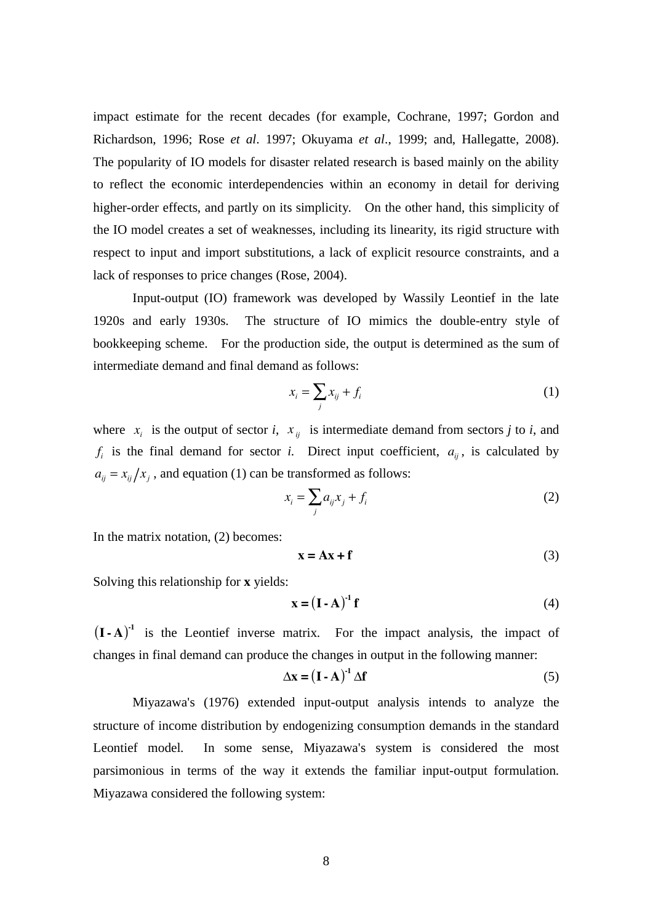impact estimate for the recent decades (for example, Cochrane, 1997; Gordon and Richardson, 1996; Rose *et al*. 1997; Okuyama *et al*., 1999; and, Hallegatte, 2008). The popularity of IO models for disaster related research is based mainly on the ability to reflect the economic interdependencies within an economy in detail for deriving higher-order effects, and partly on its simplicity. On the other hand, this simplicity of the IO model creates a set of weaknesses, including its linearity, its rigid structure with respect to input and import substitutions, a lack of explicit resource constraints, and a lack of responses to price changes (Rose, 2004).

Input-output (IO) framework was developed by Wassily Leontief in the late 1920s and early 1930s. The structure of IO mimics the double-entry style of bookkeeping scheme. For the production side, the output is determined as the sum of intermediate demand and final demand as follows:

$$
x_i = \sum_j x_{ij} + f_i \tag{1}
$$

where  $x_i$  is the output of sector *i*,  $x_{ij}$  is intermediate demand from sectors *j* to *i*, and  $f_i$  is the final demand for sector *i*. Direct input coefficient,  $a_{ii}$ , is calculated by  $a_{ij} = x_{ij}/x_j$ , and equation (1) can be transformed as follows:

$$
x_i = \sum_j a_{ij} x_j + f_i \tag{2}
$$

In the matrix notation, (2) becomes:

$$
x = Ax + f \tag{3}
$$

Solving this relationship for **x** yields:

$$
\mathbf{x} = (\mathbf{I} \cdot \mathbf{A})^1 \mathbf{f} \tag{4}
$$

 $(I - A)^{-1}$  is the Leontief inverse matrix. For the impact analysis, the impact of changes in final demand can produce the changes in output in the following manner:

$$
\Delta \mathbf{x} = (\mathbf{I} \cdot \mathbf{A})^{-1} \Delta \mathbf{f}
$$
 (5)

Miyazawa's (1976) extended input-output analysis intends to analyze the structure of income distribution by endogenizing consumption demands in the standard Leontief model. In some sense, Miyazawa's system is considered the most parsimonious in terms of the way it extends the familiar input-output formulation. Miyazawa considered the following system: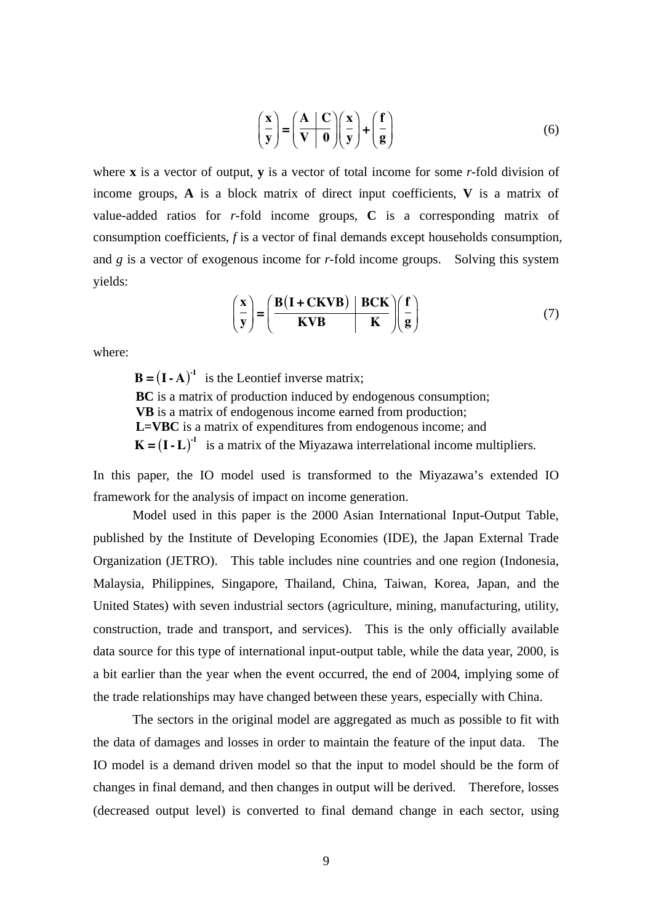$$
\left(\frac{\mathbf{x}}{\mathbf{y}}\right) = \left(\frac{\mathbf{A} \mid \mathbf{C}}{\mathbf{V} \mid \mathbf{0}}\right) \left(\frac{\mathbf{x}}{\mathbf{y}}\right) + \left(\frac{\mathbf{f}}{\mathbf{g}}\right)
$$
(6)

where **x** is a vector of output, **y** is a vector of total income for some *r*-fold division of income groups, **A** is a block matrix of direct input coefficients, **V** is a matrix of value-added ratios for *r*-fold income groups, **C** is a corresponding matrix of consumption coefficients, *f* is a vector of final demands except households consumption, and *g* is a vector of exogenous income for *r*-fold income groups. Solving this system yields:

$$
\left(\frac{\mathbf{x}}{\mathbf{y}}\right) = \left(\frac{\mathbf{B}(\mathbf{I} + \mathbf{CKVB}) \mid \mathbf{BCK}}{\mathbf{KVB}}\right) \left(\frac{\mathbf{f}}{\mathbf{g}}\right)
$$
(7)

where:

 $\mathbf{B} = (\mathbf{I} \cdot \mathbf{A})^{\text{-1}}$  is the Leontief inverse matrix; **BC** is a matrix of production induced by endogenous consumption; **VB** is a matrix of endogenous income earned from production; **L=VBC** is a matrix of expenditures from endogenous income; and  $K = (I - L)^{1}$  is a matrix of the Miyazawa interrelational income multipliers.

In this paper, the IO model used is transformed to the Miyazawa's extended IO framework for the analysis of impact on income generation.

Model used in this paper is the 2000 Asian International Input-Output Table, published by the Institute of Developing Economies (IDE), the Japan External Trade Organization (JETRO). This table includes nine countries and one region (Indonesia, Malaysia, Philippines, Singapore, Thailand, China, Taiwan, Korea, Japan, and the United States) with seven industrial sectors (agriculture, mining, manufacturing, utility, construction, trade and transport, and services). This is the only officially available data source for this type of international input-output table, while the data year, 2000, is a bit earlier than the year when the event occurred, the end of 2004, implying some of the trade relationships may have changed between these years, especially with China.

The sectors in the original model are aggregated as much as possible to fit with the data of damages and losses in order to maintain the feature of the input data. The IO model is a demand driven model so that the input to model should be the form of changes in final demand, and then changes in output will be derived. Therefore, losses (decreased output level) is converted to final demand change in each sector, using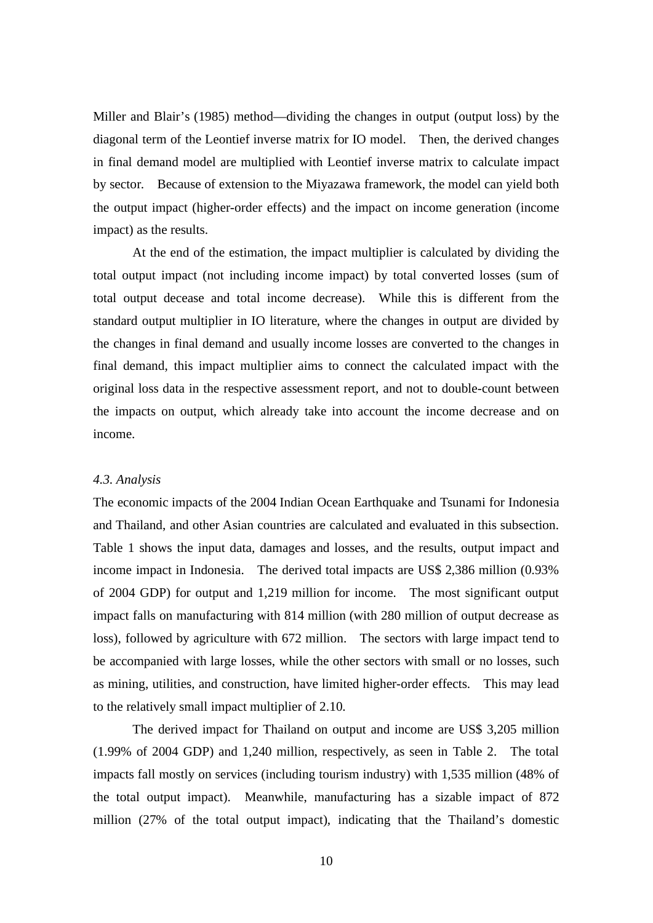Miller and Blair's (1985) method—dividing the changes in output (output loss) by the diagonal term of the Leontief inverse matrix for IO model. Then, the derived changes in final demand model are multiplied with Leontief inverse matrix to calculate impact by sector. Because of extension to the Miyazawa framework, the model can yield both the output impact (higher-order effects) and the impact on income generation (income impact) as the results.

At the end of the estimation, the impact multiplier is calculated by dividing the total output impact (not including income impact) by total converted losses (sum of total output decease and total income decrease). While this is different from the standard output multiplier in IO literature, where the changes in output are divided by the changes in final demand and usually income losses are converted to the changes in final demand, this impact multiplier aims to connect the calculated impact with the original loss data in the respective assessment report, and not to double-count between the impacts on output, which already take into account the income decrease and on income.

#### *4.3. Analysis*

The economic impacts of the 2004 Indian Ocean Earthquake and Tsunami for Indonesia and Thailand, and other Asian countries are calculated and evaluated in this subsection. Table 1 shows the input data, damages and losses, and the results, output impact and income impact in Indonesia. The derived total impacts are US\$ 2,386 million (0.93% of 2004 GDP) for output and 1,219 million for income. The most significant output impact falls on manufacturing with 814 million (with 280 million of output decrease as loss), followed by agriculture with 672 million. The sectors with large impact tend to be accompanied with large losses, while the other sectors with small or no losses, such as mining, utilities, and construction, have limited higher-order effects. This may lead to the relatively small impact multiplier of 2.10.

The derived impact for Thailand on output and income are US\$ 3,205 million (1.99% of 2004 GDP) and 1,240 million, respectively, as seen in Table 2. The total impacts fall mostly on services (including tourism industry) with 1,535 million (48% of the total output impact). Meanwhile, manufacturing has a sizable impact of 872 million (27% of the total output impact), indicating that the Thailand's domestic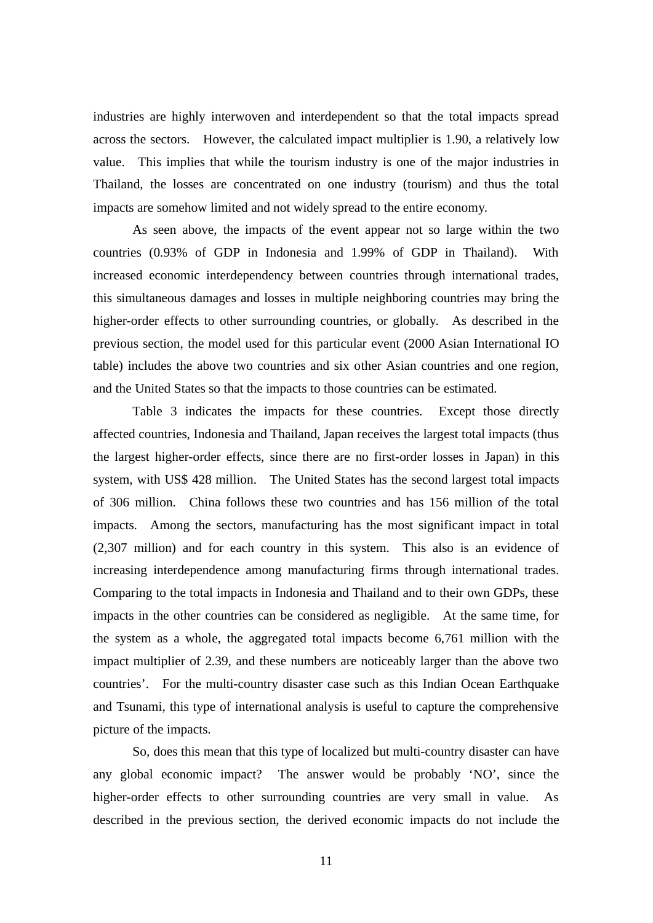industries are highly interwoven and interdependent so that the total impacts spread across the sectors. However, the calculated impact multiplier is 1.90, a relatively low value. This implies that while the tourism industry is one of the major industries in Thailand, the losses are concentrated on one industry (tourism) and thus the total impacts are somehow limited and not widely spread to the entire economy.

As seen above, the impacts of the event appear not so large within the two countries (0.93% of GDP in Indonesia and 1.99% of GDP in Thailand). With increased economic interdependency between countries through international trades, this simultaneous damages and losses in multiple neighboring countries may bring the higher-order effects to other surrounding countries, or globally. As described in the previous section, the model used for this particular event (2000 Asian International IO table) includes the above two countries and six other Asian countries and one region, and the United States so that the impacts to those countries can be estimated.

Table 3 indicates the impacts for these countries. Except those directly affected countries, Indonesia and Thailand, Japan receives the largest total impacts (thus the largest higher-order effects, since there are no first-order losses in Japan) in this system, with US\$ 428 million. The United States has the second largest total impacts of 306 million. China follows these two countries and has 156 million of the total impacts. Among the sectors, manufacturing has the most significant impact in total (2,307 million) and for each country in this system. This also is an evidence of increasing interdependence among manufacturing firms through international trades. Comparing to the total impacts in Indonesia and Thailand and to their own GDPs, these impacts in the other countries can be considered as negligible. At the same time, for the system as a whole, the aggregated total impacts become 6,761 million with the impact multiplier of 2.39, and these numbers are noticeably larger than the above two countries'. For the multi-country disaster case such as this Indian Ocean Earthquake and Tsunami, this type of international analysis is useful to capture the comprehensive picture of the impacts.

So, does this mean that this type of localized but multi-country disaster can have any global economic impact? The answer would be probably 'NO', since the higher-order effects to other surrounding countries are very small in value. As described in the previous section, the derived economic impacts do not include the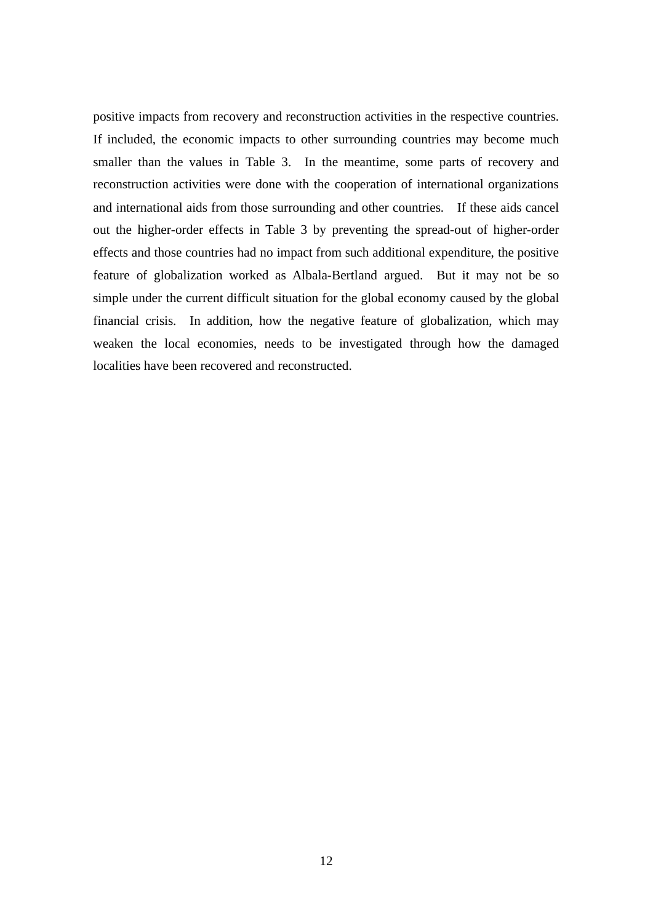positive impacts from recovery and reconstruction activities in the respective countries. If included, the economic impacts to other surrounding countries may become much smaller than the values in Table 3. In the meantime, some parts of recovery and reconstruction activities were done with the cooperation of international organizations and international aids from those surrounding and other countries. If these aids cancel out the higher-order effects in Table 3 by preventing the spread-out of higher-order effects and those countries had no impact from such additional expenditure, the positive feature of globalization worked as Albala-Bertland argued. But it may not be so simple under the current difficult situation for the global economy caused by the global financial crisis. In addition, how the negative feature of globalization, which may weaken the local economies, needs to be investigated through how the damaged localities have been recovered and reconstructed.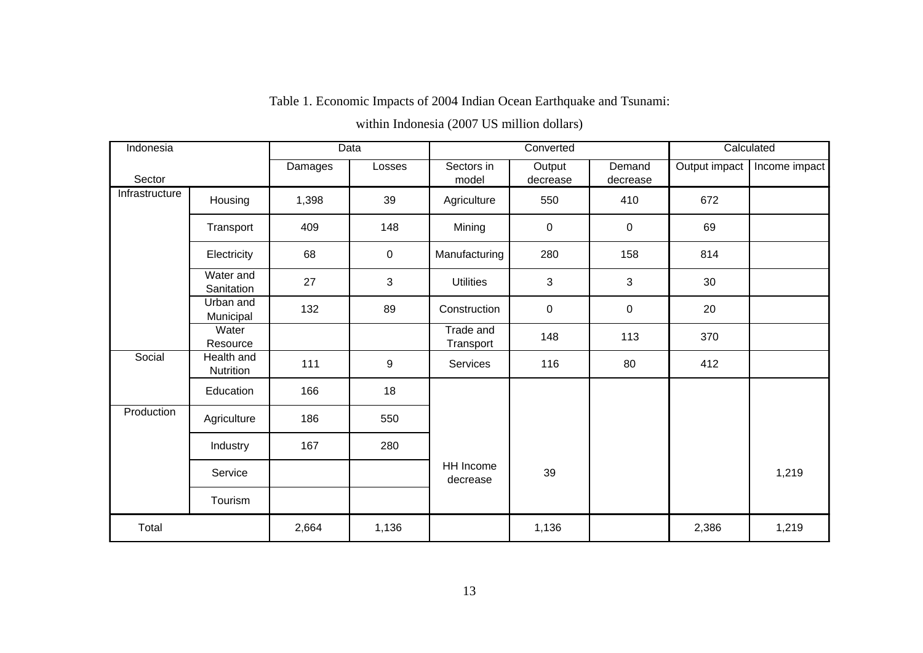# Table 1. Economic Impacts of 2004 Indian Ocean Earthquake and Tsunami:

within Indonesia (2007 US million dollars)

| Indonesia      |                         | Data    |             |                        | Converted          | Calculated         |               |               |
|----------------|-------------------------|---------|-------------|------------------------|--------------------|--------------------|---------------|---------------|
| Sector         |                         | Damages | Losses      | Sectors in<br>model    | Output<br>decrease | Demand<br>decrease | Output impact | Income impact |
| Infrastructure | Housing                 | 1,398   | 39          | Agriculture            | 550                | 410                | 672           |               |
|                | Transport               | 409     | 148         | Mining                 | 0                  | $\pmb{0}$          | 69            |               |
|                | Electricity             | 68      | $\mathbf 0$ | Manufacturing          | 280                | 158                | 814           |               |
|                | Water and<br>Sanitation | 27      | 3           | <b>Utilities</b>       | 3                  | 3                  | 30            |               |
|                | Urban and<br>Municipal  | 132     | 89          | Construction           | $\pmb{0}$          | $\pmb{0}$          | 20            |               |
|                | Water<br>Resource       |         |             | Trade and<br>Transport | 148                | 113                | 370           |               |
| Social         | Health and<br>Nutrition | 111     | 9           | Services               | 116                | 80                 | 412           |               |
|                | Education               | 166     | 18          |                        |                    |                    |               |               |
| Production     | Agriculture             | 186     | 550         |                        |                    |                    |               |               |
|                | Industry                | 167     | 280         |                        |                    |                    |               |               |
|                | Service                 |         |             | HH Income<br>decrease  | 39                 |                    |               | 1,219         |
|                | Tourism                 |         |             |                        |                    |                    |               |               |
| Total          |                         | 2,664   | 1,136       |                        | 1,136              |                    | 2,386         | 1,219         |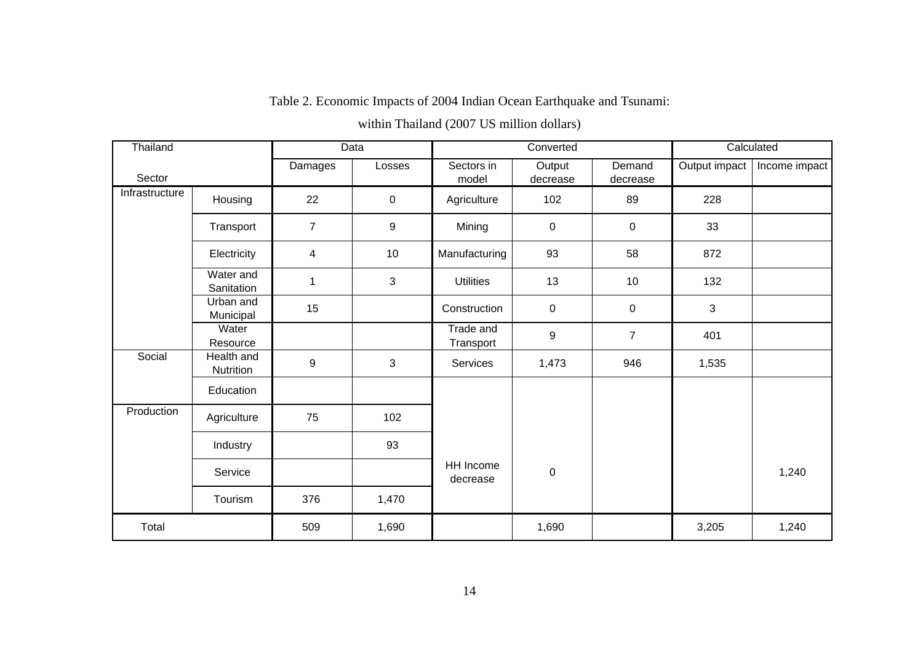# Table 2. Economic Impacts of 2004 Indian Ocean Earthquake and Tsunami:

within Thailand (2007 US million dollars)

| Thailand       |                         | Data           |             |                        | Converted          | Calculated         |               |               |
|----------------|-------------------------|----------------|-------------|------------------------|--------------------|--------------------|---------------|---------------|
| Sector         |                         | Damages        | Losses      | Sectors in<br>model    | Output<br>decrease | Demand<br>decrease | Output impact | Income impact |
| Infrastructure | Housing                 | 22             | $\mathbf 0$ | Agriculture            | 102                | 89                 | 228           |               |
|                | Transport               | $\overline{7}$ | 9           | Mining                 | $\mathbf 0$        | $\pmb{0}$          | 33            |               |
|                | Electricity             | $\overline{4}$ | 10          | Manufacturing          | 93                 | 58                 | 872           |               |
|                | Water and<br>Sanitation | 1              | 3           | <b>Utilities</b>       | 13                 |                    | 132           |               |
|                | Urban and<br>Municipal  | 15             |             | Construction           | $\pmb{0}$          | 0                  | 3             |               |
|                | Water<br>Resource       |                |             | Trade and<br>Transport | 9                  | $\overline{7}$     | 401           |               |
| Social         | Health and<br>Nutrition | 9              | 3           | Services               | 1,473              | 946                | 1,535         |               |
|                | Education               |                |             |                        |                    |                    |               |               |
| Production     | Agriculture             | 75             | 102         |                        |                    |                    |               |               |
|                | Industry                |                | 93          |                        |                    |                    |               |               |
|                | Service                 |                |             | HH Income<br>decrease  | $\pmb{0}$          |                    |               | 1,240         |
|                | Tourism                 | 376            | 1,470       |                        |                    |                    |               |               |
| Total          |                         | 509            | 1,690       |                        | 1,690              |                    | 3,205         | 1,240         |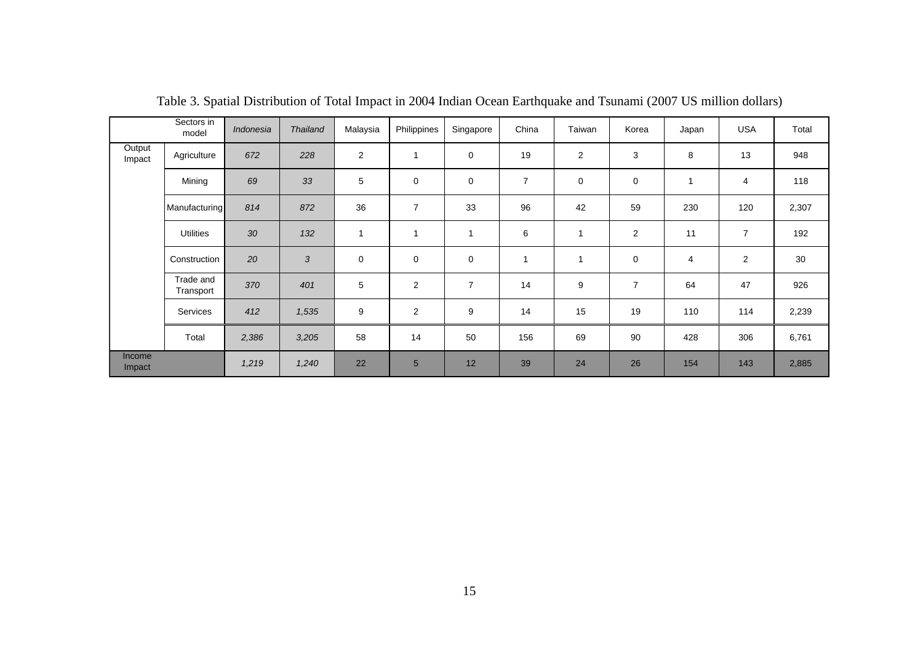|                  | Sectors in<br>model    | Indonesia | <b>Thailand</b> | Malaysia       | Philippines     | Singapore      | China          | Taiwan | Korea          | Japan                    | <b>USA</b>     | Total |
|------------------|------------------------|-----------|-----------------|----------------|-----------------|----------------|----------------|--------|----------------|--------------------------|----------------|-------|
| Output<br>Impact | Agriculture            | 672       | 228             | $\overline{2}$ |                 | $\mathbf 0$    | 19             | 2      | 3              | 8                        | 13             | 948   |
|                  | Mining                 | 69        | 33              | 5              | $\mathbf 0$     | $\mathbf 0$    | $\overline{7}$ | 0      | $\mathbf 0$    | $\overline{\phantom{a}}$ | 4              | 118   |
|                  | Manufacturing          | 814       | 872             | 36             | $\overline{7}$  | 33             | 96             | 42     | 59             | 230                      | 120            | 2,307 |
|                  | <b>Utilities</b>       | 30        | 132             |                | 1               | $\mathbf 1$    | 6              | 1      | $\overline{2}$ | 11                       | $\overline{7}$ | 192   |
|                  | Construction           | 20        | 3               | 0              | $\mathbf 0$     | $\mathbf 0$    | 1              |        | $\mathbf 0$    | 4                        | $\overline{2}$ | 30    |
|                  | Trade and<br>Transport | 370       | 401             | 5              | $\overline{2}$  | $\overline{7}$ | 14             | 9      | $\overline{7}$ | 64                       | 47             | 926   |
|                  | Services               | 412       | 1,535           | 9              | $\overline{2}$  | 9              | 14             | 15     | 19             | 110                      | 114            | 2,239 |
|                  | Total                  | 2,386     | 3,205           | 58             | 14              | 50             | 156            | 69     | 90             | 428                      | 306            | 6,761 |
| Income<br>Impact |                        | 1,219     | 1,240           | 22             | $5\overline{)}$ | 12             | 39             | 24     | 26             | 154                      | 143            | 2,885 |

Table 3. Spatial Distribution of Total Impact in 2004 Indian Ocean Earthquake and Tsunami (2007 US million dollars)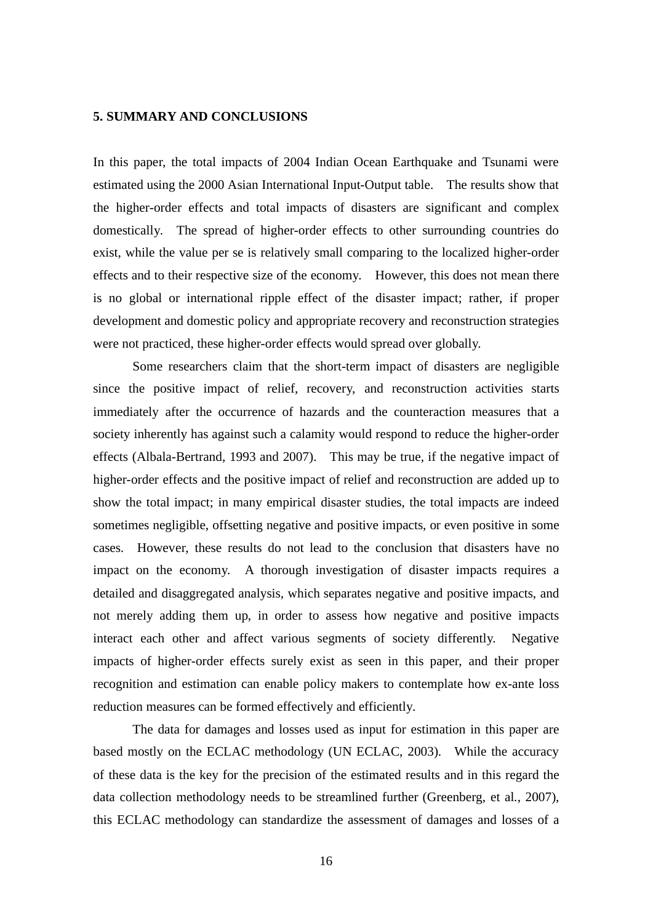### **5. SUMMARY AND CONCLUSIONS**

In this paper, the total impacts of 2004 Indian Ocean Earthquake and Tsunami were estimated using the 2000 Asian International Input-Output table. The results show that the higher-order effects and total impacts of disasters are significant and complex domestically. The spread of higher-order effects to other surrounding countries do exist, while the value per se is relatively small comparing to the localized higher-order effects and to their respective size of the economy. However, this does not mean there is no global or international ripple effect of the disaster impact; rather, if proper development and domestic policy and appropriate recovery and reconstruction strategies were not practiced, these higher-order effects would spread over globally.

Some researchers claim that the short-term impact of disasters are negligible since the positive impact of relief, recovery, and reconstruction activities starts immediately after the occurrence of hazards and the counteraction measures that a society inherently has against such a calamity would respond to reduce the higher-order effects (Albala-Bertrand, 1993 and 2007). This may be true, if the negative impact of higher-order effects and the positive impact of relief and reconstruction are added up to show the total impact; in many empirical disaster studies, the total impacts are indeed sometimes negligible, offsetting negative and positive impacts, or even positive in some cases. However, these results do not lead to the conclusion that disasters have no impact on the economy. A thorough investigation of disaster impacts requires a detailed and disaggregated analysis, which separates negative and positive impacts, and not merely adding them up, in order to assess how negative and positive impacts interact each other and affect various segments of society differently. Negative impacts of higher-order effects surely exist as seen in this paper, and their proper recognition and estimation can enable policy makers to contemplate how ex-ante loss reduction measures can be formed effectively and efficiently.

The data for damages and losses used as input for estimation in this paper are based mostly on the ECLAC methodology (UN ECLAC, 2003). While the accuracy of these data is the key for the precision of the estimated results and in this regard the data collection methodology needs to be streamlined further (Greenberg, et al., 2007), this ECLAC methodology can standardize the assessment of damages and losses of a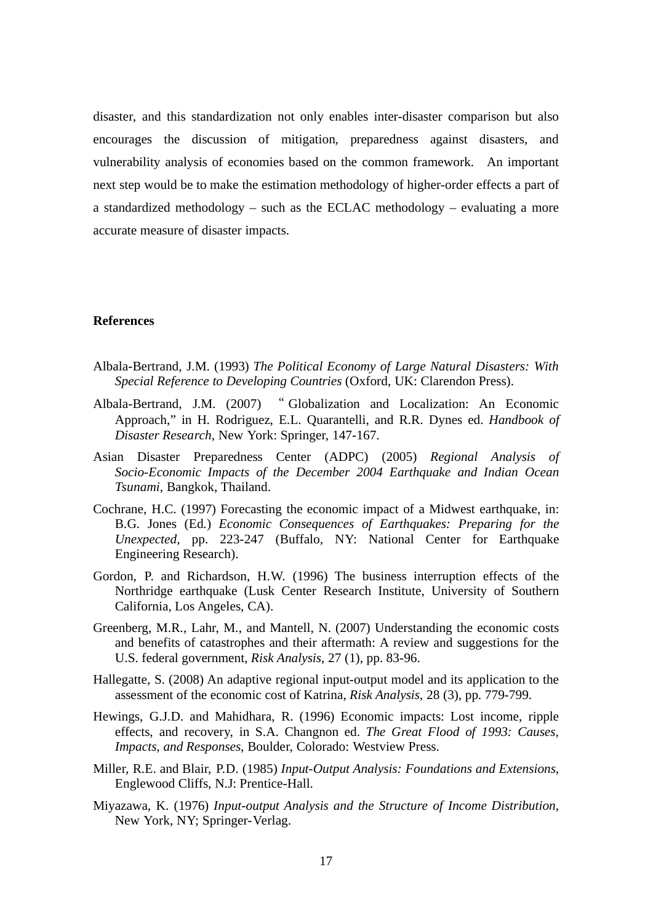disaster, and this standardization not only enables inter-disaster comparison but also encourages the discussion of mitigation, preparedness against disasters, and vulnerability analysis of economies based on the common framework. An important next step would be to make the estimation methodology of higher-order effects a part of a standardized methodology – such as the ECLAC methodology – evaluating a more accurate measure of disaster impacts.

#### **References**

- Albala-Bertrand, J.M. (1993) *The Political Economy of Large Natural Disasters: With Special Reference to Developing Countries* (Oxford, UK: Clarendon Press).
- Albala-Bertrand, J.M. (2007) "Globalization and Localization: An Economic Approach," in H. Rodriguez, E.L. Quarantelli, and R.R. Dynes ed. *Handbook of Disaster Research*, New York: Springer, 147-167.
- Asian Disaster Preparedness Center (ADPC) (2005) *Regional Analysis of Socio-Economic Impacts of the December 2004 Earthquake and Indian Ocean Tsunami*, Bangkok, Thailand.
- Cochrane, H.C. (1997) Forecasting the economic impact of a Midwest earthquake, in: B.G. Jones (Ed.) *Economic Consequences of Earthquakes: Preparing for the Unexpected*, pp. 223-247 (Buffalo, NY: National Center for Earthquake Engineering Research).
- Gordon, P. and Richardson, H.W. (1996) The business interruption effects of the Northridge earthquake (Lusk Center Research Institute, University of Southern California, Los Angeles, CA).
- Greenberg, M.R., Lahr, M., and Mantell, N. (2007) Understanding the economic costs and benefits of catastrophes and their aftermath: A review and suggestions for the U.S. federal government, *Risk Analysis*, 27 (1), pp. 83-96.
- Hallegatte, S. (2008) An adaptive regional input-output model and its application to the assessment of the economic cost of Katrina, *Risk Analysis*, 28 (3), pp. 779-799.
- Hewings, G.J.D. and Mahidhara, R. (1996) Economic impacts: Lost income, ripple effects, and recovery, in S.A. Changnon ed. *The Great Flood of 1993: Causes, Impacts, and Responses*, Boulder, Colorado: Westview Press.
- Miller, R.E. and Blair, P.D. (1985) *Input-Output Analysis: Foundations and Extensions*, Englewood Cliffs, N.J: Prentice-Hall.
- Miyazawa, K. (1976) *Input-output Analysis and the Structure of Income Distribution*, New York, NY; Springer-Verlag.